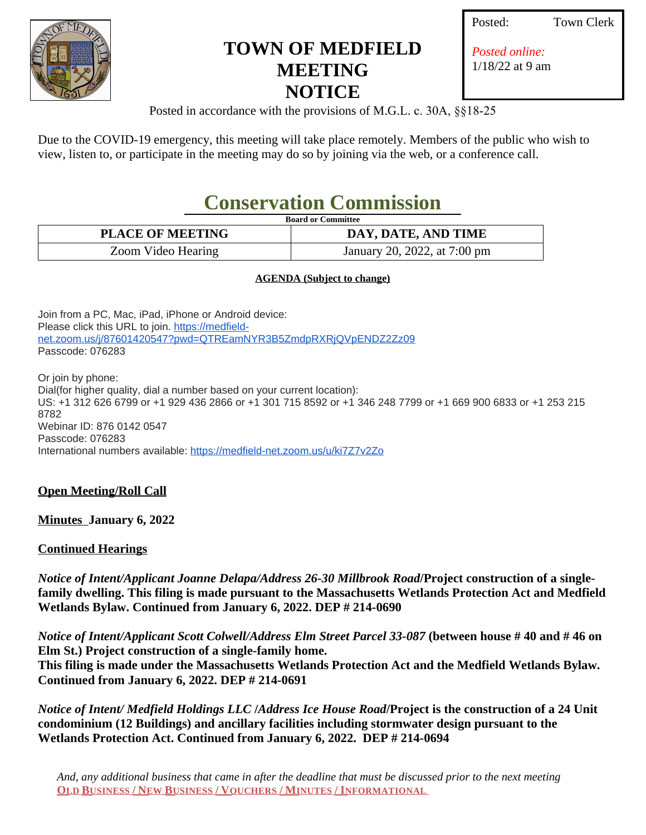

## **TOWN OF MEDFIELD MEETING NOTICE**

Town Clerk

*Posted online:* 1/18/22 at 9 am

Posted in accordance with the provisions of M.G.L. c. 30A, §§18-25

Due to the COVID-19 emergency, this meeting will take place remotely. Members of the public who wish to view, listen to, or participate in the meeting may do so by joining via the web, or a conference call.

# **Conservation Commission**

|  | <b>Board or Committee</b> |  |
|--|---------------------------|--|
|  |                           |  |

| <b>PLACE OF MEETING</b> | DAY, DATE, AND TIME          |
|-------------------------|------------------------------|
| Zoom Video Hearing      | January 20, 2022, at 7:00 pm |

#### **AGENDA (Subject to change)**

Join from a PC, Mac, iPad, iPhone or Android device: Please click this URL to join. [https://medfield](https://www.google.com/url?q=https%3A%2F%2Fmedfield-net.zoom.us%2Fj%2F87601420547%3Fpwd%3DQTREamNYR3B5ZmdpRXRjQVpENDZ2Zz09&sa=D&ust=1642535565258000&usg=AOvVaw0CA9oApwt3mBibtoQQV6rs)net.zoom.us/j/87601420547?pwd=QTREamNYR3B5ZmdpRXRjQVpENDZ2Zz09 Passcode: 076283

Or join by phone: Dial(for higher quality, dial a number based on your current location): US: +1 312 626 6799 or +1 929 436 2866 or +1 301 715 8592 or +1 346 248 7799 or +1 669 900 6833 or +1 253 215 8782 Webinar ID: 876 0142 0547 Passcode: 076283 International numbers available: [https://medfield-net.zoom.us/u/ki7Z7v2Zo](https://www.google.com/url?q=https%3A%2F%2Fmedfield-net.zoom.us%2Fu%2Fki7Z7v2Zo&sa=D&ust=1642535565258000&usg=AOvVaw0b_QTYHSmujyyix-pTnQC1)

#### **Open Meeting/Roll Call**

**Minutes January 6, 2022**

#### **Continued Hearings**

*Notice of Intent/Applicant Joanne Delapa/Address 26-30 Millbrook Road***/Project construction of a singlefamily dwelling. This filing is made pursuant to the Massachusetts Wetlands Protection Act and Medfield Wetlands Bylaw. Continued from January 6, 2022. DEP # 214-0690**

*Notice of Intent/Applicant Scott Colwell/Address Elm Street Parcel 33-087* **(between house # 40 and # 46 on Elm St.) Project construction of a single-family home. This filing is made under the Massachusetts Wetlands Protection Act and the Medfield Wetlands Bylaw. Continued from January 6, 2022. DEP # 214-0691**

*Notice of Intent/ Medfield Holdings LLC* **/***Address Ice House Road***/Project is the construction of a 24 Unit condominium (12 Buildings) and ancillary facilities including stormwater design pursuant to the Wetlands Protection Act. Continued from January 6, 2022. DEP # 214-0694**